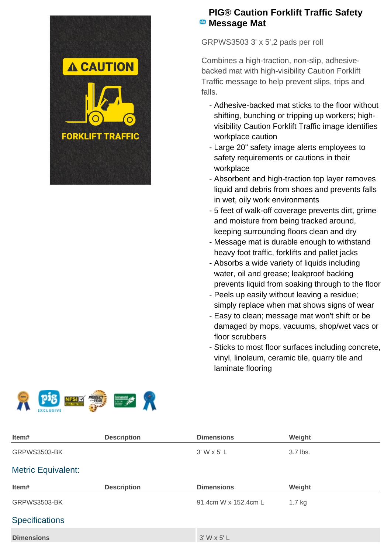

## **PIG® Caution Forklift Traffic Safety B** Message Mat

GRPWS3503 3' x 5',2 pads per roll

Combines a high-traction, non-slip, adhesivebacked mat with high-visibility Caution Forklift Traffic message to help prevent slips, trips and falls.

- Adhesive-backed mat sticks to the floor without shifting, bunching or tripping up workers; highvisibility Caution Forklift Traffic image identifies workplace caution
- Large 20" safety image alerts employees to safety requirements or cautions in their workplace
- Absorbent and high-traction top layer removes liquid and debris from shoes and prevents falls in wet, oily work environments
- 5 feet of walk-off coverage prevents dirt, grime and moisture from being tracked around, keeping surrounding floors clean and dry
- Message mat is durable enough to withstand heavy foot traffic, forklifts and pallet jacks
- Absorbs a wide variety of liquids including water, oil and grease; leakproof backing prevents liquid from soaking through to the floor
- Peels up easily without leaving a residue; simply replace when mat shows signs of wear
- Easy to clean; message mat won't shift or be damaged by mops, vacuums, shop/wet vacs or floor scrubbers
- Sticks to most floor surfaces including concrete, vinyl, linoleum, ceramic tile, quarry tile and laminate flooring





| Item#                     | <b>Description</b> | <b>Dimensions</b>    | Weight   |  |
|---------------------------|--------------------|----------------------|----------|--|
| <b>GRPWS3503-BK</b>       |                    | 3' W x 5' L          | 3.7 lbs. |  |
| <b>Metric Equivalent:</b> |                    |                      |          |  |
| Item#                     | <b>Description</b> | <b>Dimensions</b>    | Weight   |  |
| GRPWS3503-BK              |                    | 91.4cm W x 152.4cm L | $1.7$ kg |  |
| <b>Specifications</b>     |                    |                      |          |  |
| <b>Dimensions</b>         |                    | $3'$ W x 5' L        |          |  |